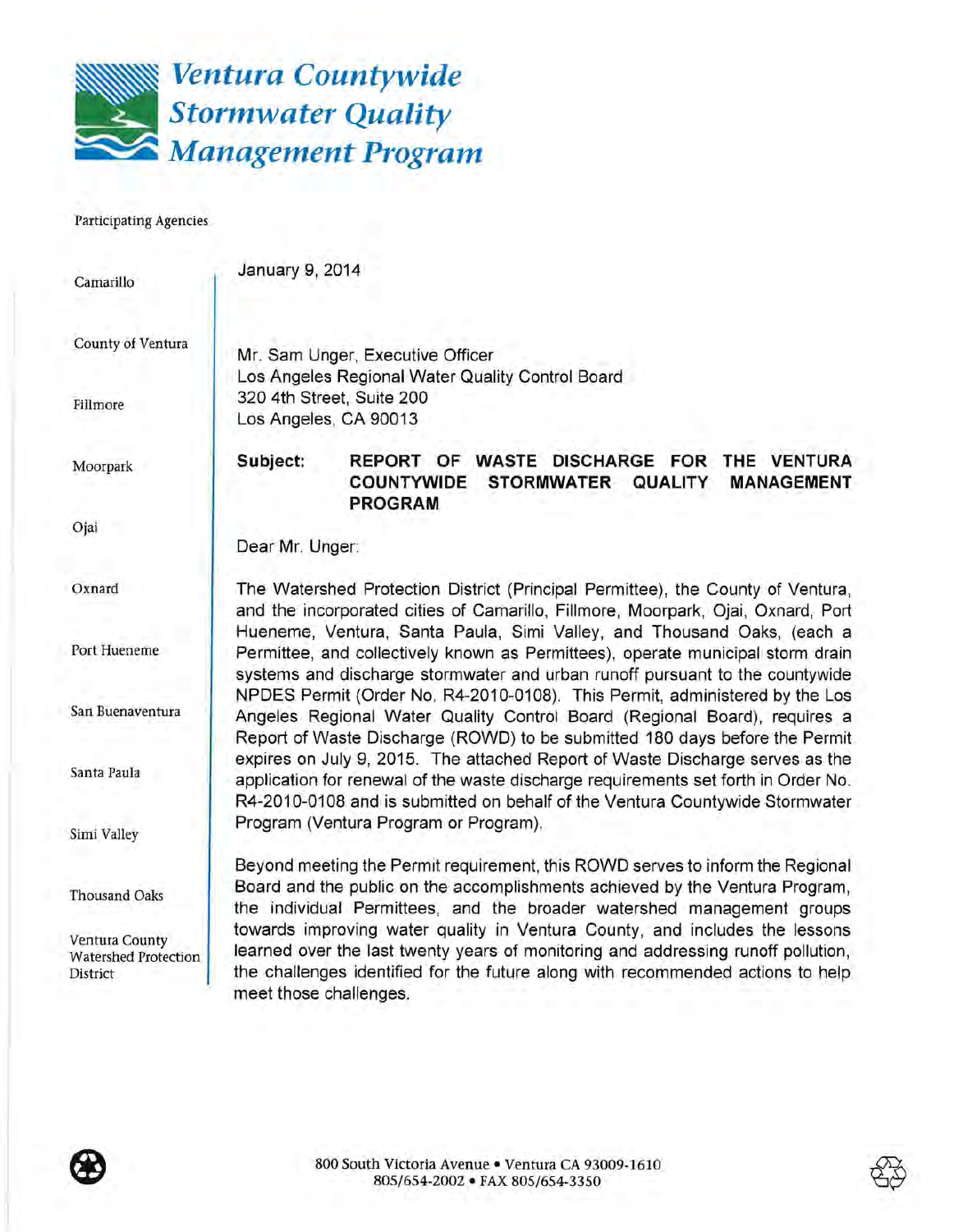

Participating Agencies

| Camarillo                                                 | January 9, 2014                                                                                                                                                                                                                                                               |
|-----------------------------------------------------------|-------------------------------------------------------------------------------------------------------------------------------------------------------------------------------------------------------------------------------------------------------------------------------|
| County of Ventura                                         | Mr. Sam Unger, Executive Officer<br>Los Angeles Regional Water Quality Control Board                                                                                                                                                                                          |
| Fillmore                                                  | 320 4th Street, Suite 200<br>Los Angeles, CA 90013                                                                                                                                                                                                                            |
| Moorpark                                                  | Subject:<br>REPORT OF WASTE DISCHARGE FOR<br>THE VENTURA<br><b>COUNTYWIDE</b><br><b>STORMWATER</b><br><b>QUALITY</b><br><b>MANAGEMENT</b><br><b>PROGRAM</b>                                                                                                                   |
| Ojai                                                      | Dear Mr. Unger:                                                                                                                                                                                                                                                               |
| Oxnard                                                    | The Watershed Protection District (Principal Permittee), the County of Ventura,<br>and the incorporated cities of Camarillo, Fillmore, Moorpark, Ojai, Oxnard, Port                                                                                                           |
| Port Hueneme                                              | Hueneme, Ventura, Santa Paula, Simi Valley, and Thousand Oaks, (each a<br>Permittee, and collectively known as Permittees), operate municipal storm drain<br>systems and discharge stormwater and urban runoff pursuant to the countywide                                     |
| San Buenaventura                                          | NPDES Permit (Order No. R4-2010-0108). This Permit, administered by the Los<br>Angeles Regional Water Quality Control Board (Regional Board), requires a<br>Report of Waste Discharge (ROWD) to be submitted 180 days before the Permit                                       |
| Santa Paula                                               | expires on July 9, 2015. The attached Report of Waste Discharge serves as the<br>application for renewal of the waste discharge requirements set forth in Order No.<br>R4-2010-0108 and is submitted on behalf of the Ventura Countywide Stormwater                           |
| Simi Valley                                               | Program (Ventura Program or Program).                                                                                                                                                                                                                                         |
| Thousand Oaks                                             | Beyond meeting the Permit requirement, this ROWD serves to inform the Regional<br>Board and the public on the accomplishments achieved by the Ventura Program,<br>the individual Permittees, and the broader watershed management groups                                      |
| Ventura County<br><b>Watershed Protection</b><br>District | towards improving water quality in Ventura County, and includes the lessons<br>learned over the last twenty years of monitoring and addressing runoff pollution,<br>the challenges identified for the future along with recommended actions to help<br>meet those challenges. |

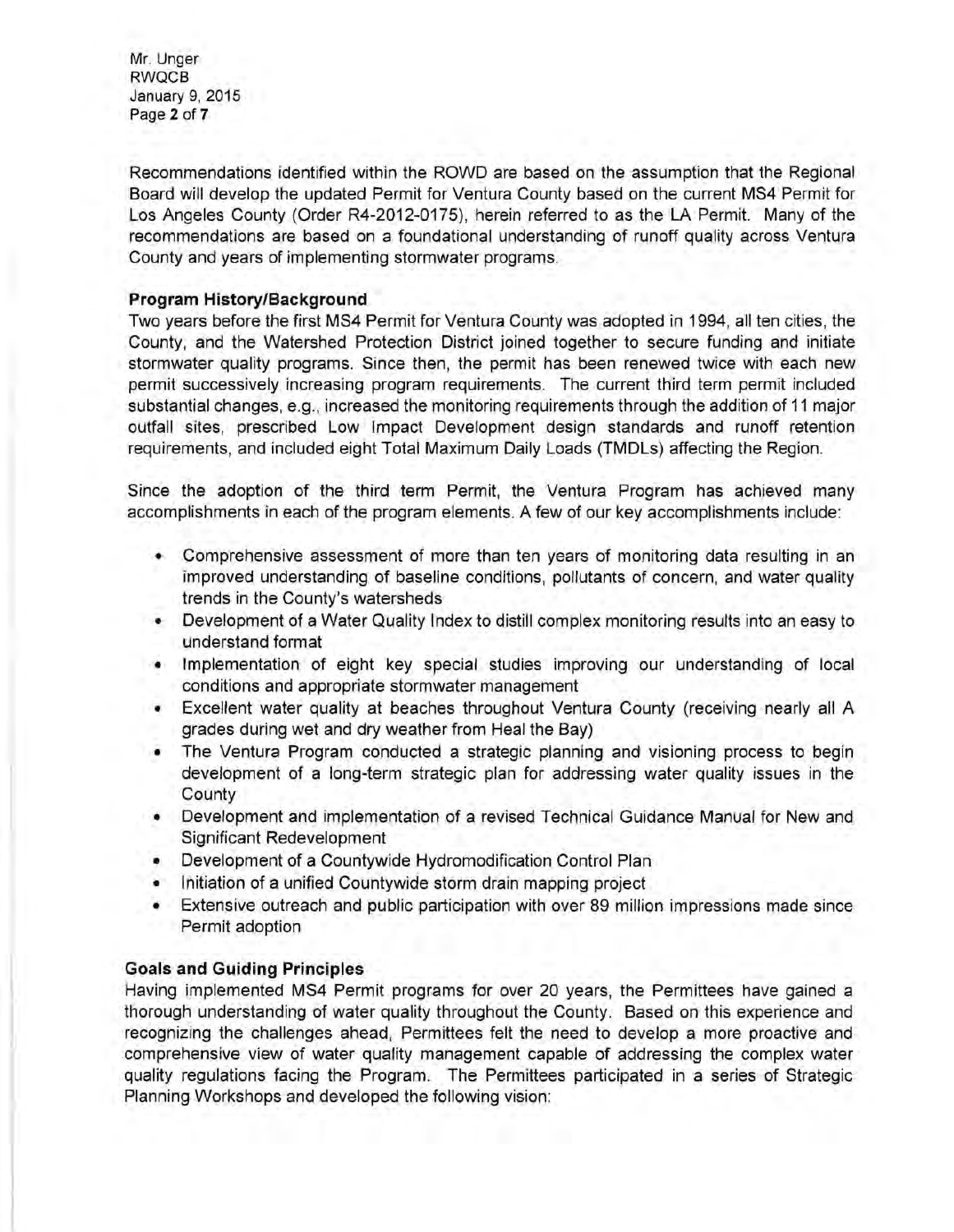Mr. Unger RWQCB January 9, 2015 Page 2 of 7

Recommendations identified within the ROWD are based on the assumption that the Regional Board will develop the updated Permit for Ventura County based on the current MS4 Permit for Los Angeles County (Order R4-2012-0175), herein referred to as the LA Permit. Many of the recommendations are based on a foundational understanding of runoff quality across Ventura County and years of implementing stormwater programs.

### **Program History/Background**

Two years before the first MS4 Permit for Ventura County was adopted in 1994, all ten cities, the County, and the Watershed Protection District joined together to secure funding and initiate stormwater quality programs. Since then, the permit has been renewed twice with each new permit successively increasing program requirements. The current third term permit included substantial changes, e.g., increased the monitoring requirements through the addition of 11 major outfall sites, prescribed Low Impact Development design standards and runoff retention requirements, and included eight Total Maximum Daily Loads (TMDLs) affecting the Region.

Since the adoption of the third term Permit, the Ventura Program has achieved many accomplishments in each of the program elements. A few of our key accomplishments include:

- Comprehensive assessment of more than ten years of monitoring data resulting in an improved understanding of baseline conditions, pollutants of concern, and water quality trends in the County's watersheds
- Development of a Water Quality Index to distill complex monitoring results into an easy to understand format
- Implementation of eight key special studies improving our understanding of local conditions and appropriate stormwater management
- Excellent water quality at beaches throughout Ventura County (receiving nearly all A grades during wet and dry weather from Heal the Bay)
- The Ventura Program conducted a strategic planning and visioning process to begin development of a long-term strategic plan for addressing water quality issues in the **County**
- Development and implementation of a revised Technical Guidance Manual for New and Significant Redevelopment
- Development of a Countywide Hydromodification Control Plan
- Initiation of a unified Countywide storm drain mapping project
- Extensive outreach and public participation with over 89 million impressions made since Permit adoption

# **Goals and Guiding Principles**

Having implemented MS4 Permit programs for over 20 years, the Permittees have gained a thorough understanding of water quality throughout the County. Based on this experience and recognizing the challenges ahead, Permittees felt the need to develop a more proactive and comprehensive view of water quality management capable of addressing the complex water quality regulations facing the Program. The Permittees participated in a series of Strategic Planning Workshops and developed the following vision: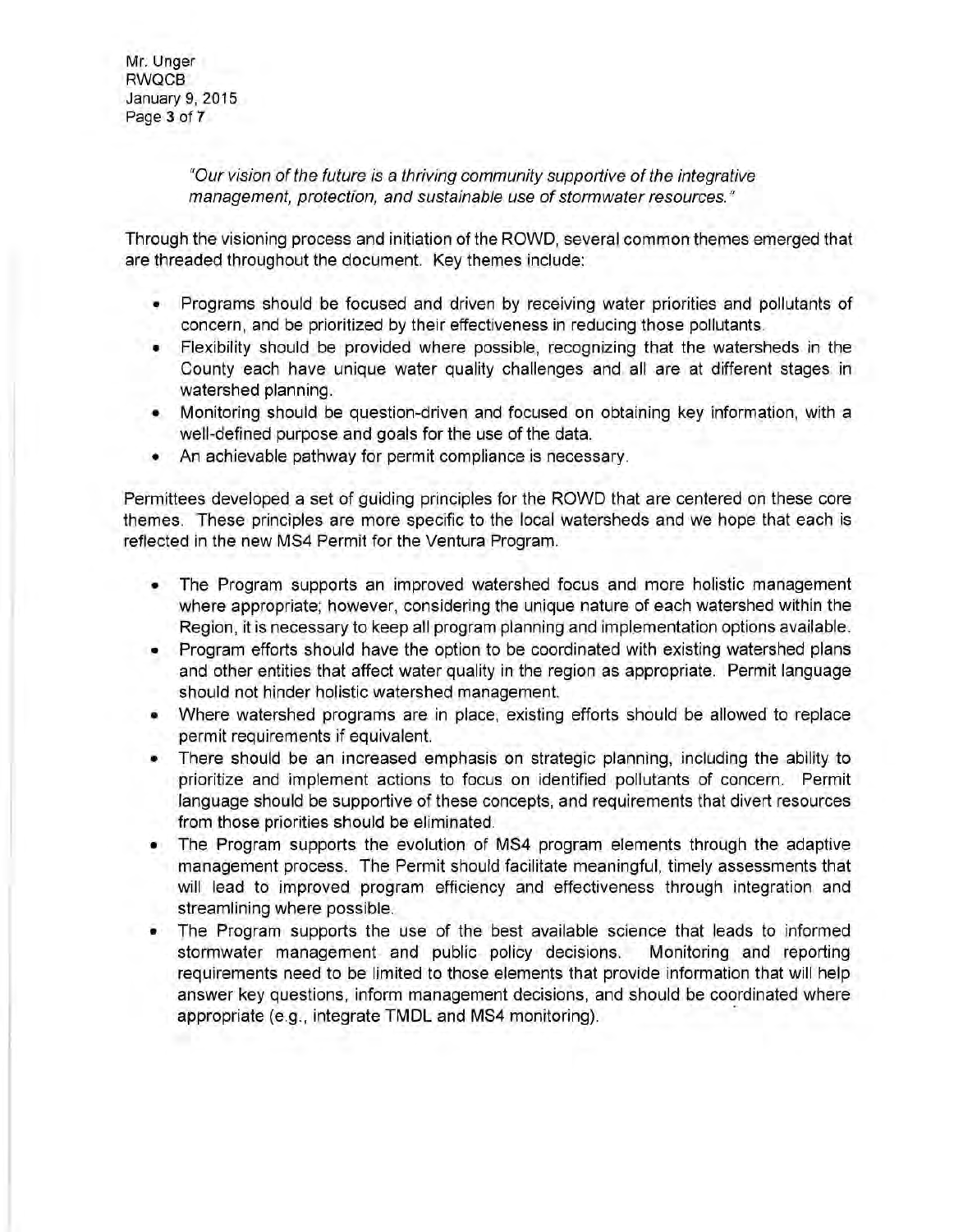Mr. Unger RWQCB January 9, 2015 Page 3 of 7

> "Our vision of the future is a thriving community supportive of the integrative management, protection, and sustainable use of stormwater resources."

Through the visioning process and initiation of the ROWD, several common themes emerged that are threaded throughout the document. Key themes include:

- Programs should be focused and driven by receiving water priorities and pollutants of concern, and be prioritized by their effectiveness in reducing those pollutants.
- Flexibility should be provided where possible, recognizing that the watersheds in the County each have unique water quality challenges and all are at different stages in watershed planning.
- Monitoring should be question-driven and focused on obtaining key information, with a well-defined purpose and goals for the use of the data.
- An achievable pathway for permit compliance is necessary.

Permittees developed a set of guiding principles for the ROWD that are centered on these core themes. These principles are more specific to the local watersheds and we hope that each is reflected in the new MS4 Permit for the Ventura Program.

- The Program supports an improved watershed focus and more holistic management where appropriate; however, considering the unique nature of each watershed within the Region, it is necessary to keep all program planning and implementation options available.
- Program efforts should have the option to be coordinated with existing watershed plans and other entities that affect water quality in the region as appropriate. Permit language should not hinder holistic watershed management.
- Where watershed programs are in place, existing efforts should be allowed to replace permit requirements if equivalent.
- There should be an increased emphasis on strategic planning, including the ability to prioritize and implement actions to focus on identified pollutants of concern. Permit language should be supportive of these concepts, and requirements that divert resources from those priorities should be eliminated.
- The Program supports the evolution of MS4 program elements through the adaptive management process. The Permit should facilitate meaningful, timely assessments that will lead to improved program efficiency and effectiveness through integration and streamlining where possible.
- The Program supports the use of the best available science that leads to informed stormwater management and public policy decisions. Monitoring and reporting requirements need to be limited to those elements that provide information that will help answer key questions, inform management decisions, and should be coordinated where appropriate (e.g., integrate **TMDL** and MS4 monitoring). ·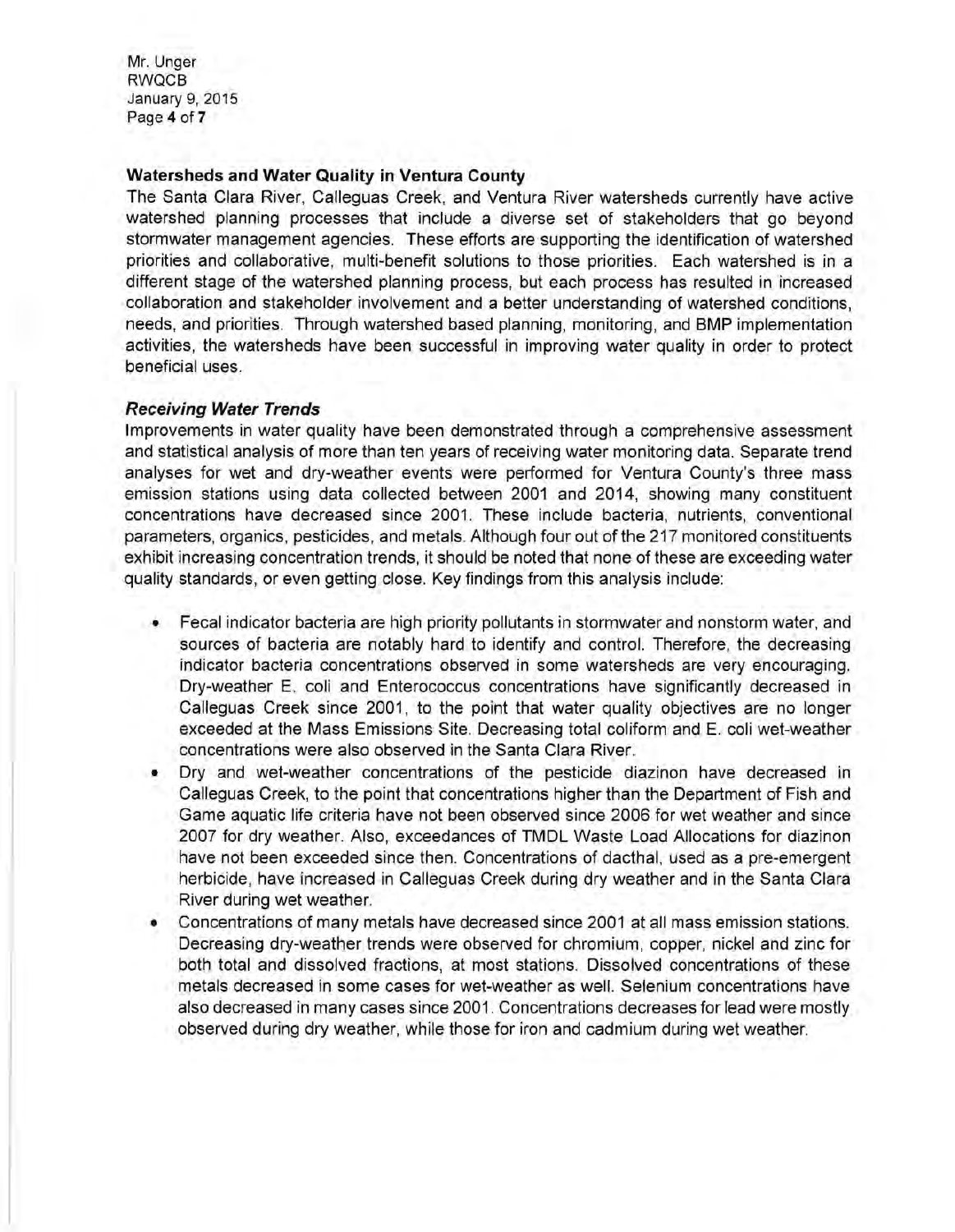Mr. Unger RWQCB January 9, 2015 Page **4 of 7** 

#### **Watersheds and Water Quality in Ventura County**

The Santa Clara River, Calleguas Creek, and Ventura River watersheds currently have active watershed planning processes that include a diverse set of stakeholders that go beyond stormwater management agencies. These efforts are supporting the identification of watershed priorities and collaborative, multi-benefit solutions to those priorities. Each watershed is in a different stage of the watershed planning process, but each process has resulted in increased collaboration and stakeholder involvement and a better understanding of watershed conditions, needs, and priorities. Through watershed based planning, monitoring, and BMP implementation activities, the watersheds have been successful in improving water quality in order to protect beneficial uses.

#### **Receiving Water Trends**

Improvements in water quality have been demonstrated through a comprehensive assessment and statistical analysis of more than ten years of receiving water monitoring data. Separate trend analyses for wet and dry-weather events were performed for Ventura County's three mass emission stations using data collected between 2001 and 2014, showing many constituent concentrations have decreased since 2001. These include bacteria, nutrients, conventional parameters, organics, pesticides, and metals. Although four out of the 217 monitored constituents exhibit increasing concentration trends, it should be noted that none of these are exceeding water quality standards, or even getting close. Key findings from this analysis include:

- Fecal indicator bacteria are high priority pollutants in stormwater and nonstorm water, and sources of bacteria are notably hard to identify and control. Therefore, the decreasing indicator bacteria concentrations observed in some watersheds are very encouraging. Dry-weather E. coli and Enterococcus concentrations have significantly decreased in Calleguas Creek since 2001, to the point that water quality objectives are no longer exceeded at the Mass Emissions Site. Decreasing total coliform and E. coli wet-weather concentrations were also observed in the Santa Clara River.
- Dry and wet-weather concentrations of the pesticide diazinon have decreased in Calleguas Creek, to the point that concentrations higher than the Department of Fish and Game aquatic life criteria have not been observed since 2006 for wet weather and since 2007 for dry weather. Also, exceedances of TMDL Waste Load Allocations for diazinon have not been exceeded since then. Concentrations of dacthal, used as a pre-emergent herbicide, have increased in Calleguas Creek during dry weather and in the Santa Clara River during wet weather.
- Concentrations of many metals have decreased since 2001 at all mass emission stations. Decreasing dry-weather trends were observed for chromium, copper, nickel and zinc for both total and dissolved fractions, at most stations. Dissolved concentrations of these metals decreased in some cases for wet-weather as well. Selenium concentrations have also decreased in many cases since 2001 . Concentrations decreases for lead were mostly observed during dry weather, while those for iron and cadmium during wet weather.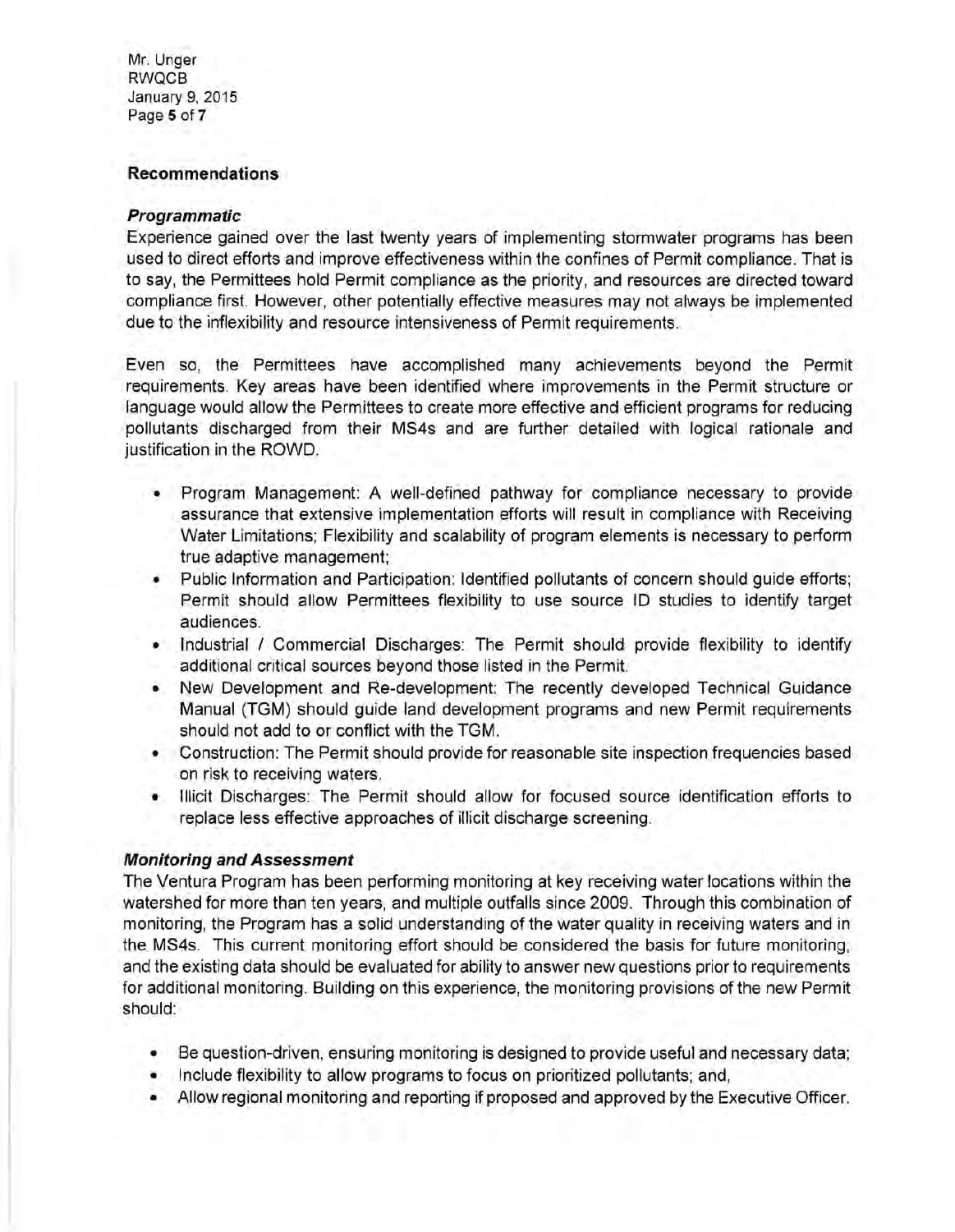Mr. Unger RWQCB January 9, 2015 Page 5 of 7

#### **Recommendations**

#### **Programmatic**

Experience gained over the last twenty years of implementing stormwater programs has been used to direct efforts and improve effectiveness within the confines of Permit compliance. That is to say, the Permittees hold Permit compliance as the priority, and resources are directed toward compliance first. However, other potentially effective measures may not always be implemented due to the inflexibility and resource intensiveness of Permit requirements.

Even so, the Permittees have accomplished many achievements beyond the Permit requirements. Key areas have been identified where improvements in the Permit structure or language would allow the Permittees to create more effective and efficient programs for reducing pollutants discharged from their MS4s and are further detailed with logical rationale and justification in the ROWD.

- Program Management: A well-defined pathway for compliance necessary to provide assurance that extensive implementation efforts will result in compliance with Receiving Water Limitations; Flexibility and scalability of program elements is necessary to perform true adaptive management;
- Public Information and Participation: Identified pollutants of concern should guide efforts; Permit should allow Permittees flexibility to use source ID studies to identify target audiences.
- Industrial / Commercial Discharges: The Permit should provide flexibility to identify additional critical sources beyond those listed in the Permit.
- New Development and Re-development: The recently developed Technical Guidance Manual (TGM) should guide land development programs and new Permit requirements should not add to or conflict with the TGM.
- Construction: The Permit should provide for reasonable site inspection frequencies based on risk to receiving waters.
- Illicit Discharges: The Permit should allow for focused source identification efforts to replace less effective approaches of illicit discharge screening.

## **Monitoring and Assessment**

The Ventura Program has been performing monitoring at key receiving water locations within the watershed for more than ten years, and multiple outfalls since 2009. Through this combination of monitoring, the Program has a solid understanding of the water quality in receiving waters and in the MS4s. This current monitoring effort should be considered the basis for future monitoring, and the existing data should be evaluated for ability to answer new questions prior to requirements for additional monitoring. Building on this experience, the monitoring provisions of the new Permit should:

- Be question-driven, ensuring monitoring is designed to provide useful and necessary data;
- Include flexibility to allow programs to focus on prioritized pollutants; and,
- Allow regional monitoring and reporting if proposed and approved by the Executive Officer.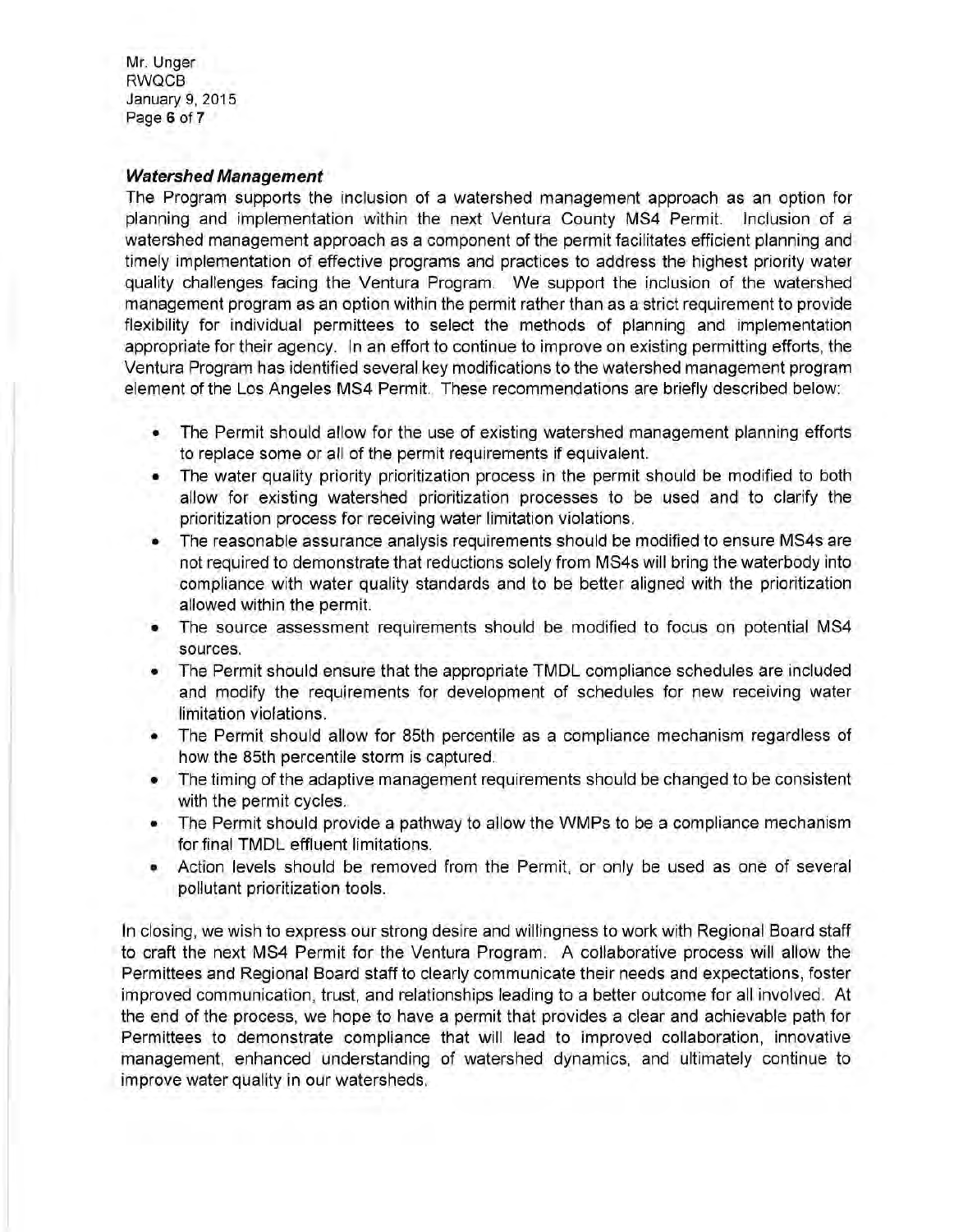Mr. Unger RWQCB January 9, 2015 Page 6 of 7

#### **Watershed Management**

The Program supports the inclusion of a watershed management approach as an option for planning and implementation within the next Ventura County MS4 Permit. Inclusion of a watershed management approach as a component of the permit facilitates efficient planning and timely implementation of effective programs and practices to address the highest priority water quality challenges facing the Ventura Program. We support the inclusion of the watershed management program as an option within the permit rather than as a strict requirement to provide flexibility for individual permittees to select the methods of planning and implementation appropriate for their agency. In an effort to continue to improve on existing permitting efforts, the Ventura Program has identified several key modifications to the watershed management program element of the Los Angeles MS4 Permit. These recommendations are briefly described below:

- The Permit should allow for the use of existing watershed management planning efforts to replace some or all of the permit requirements if equivalent.
- The water quality priority prioritization process in the permit should be modified to both allow for existing watershed prioritization processes to be used and to clarify the prioritization process for receiving water limitation violations.
- The reasonable assurance analysis requirements should be modified to ensure MS4s are not required to demonstrate that reductions solely from MS4s will bring the waterbody into compliance with water quality standards and to be better aligned with the prioritization allowed within the permit.
- The source assessment requirements should be modified to focus on potential MS4 sources.
- The Permit should ensure that the appropriate TMDL compliance schedules are included and modify the requirements for development of schedules for new receiving water limitation violations.
- The Permit should allow for 85th percentile as a compliance mechanism regardless of how the 85th percentile storm is captured.
- The timing of the adaptive management requirements should be changed to be consistent with the permit cycles.
- The Permit should provide a pathway to allow the WMPs to be a compliance mechanism for final TMDL effluent limitations.
- Action levels should be removed from the Permit, or only be used as one of several pollutant prioritization tools.

In closing, we wish to express our strong desire and willingness to work with Regional Board staff to craft the next MS4 Permit for the Ventura Program. A collaborative process will allow the Permittees and Regional Board staff to clearly communicate their needs and expectations, foster improved communication, trust, and relationships leading to a better outcome for all involved. At the end of the process, we hope to have a permit that provides a clear and achievable path for Permittees to demonstrate compliance that will lead to improved collaboration, innovative management, enhanced understanding of watershed dynamics, and ultimately continue to improve water quality in our watersheds.